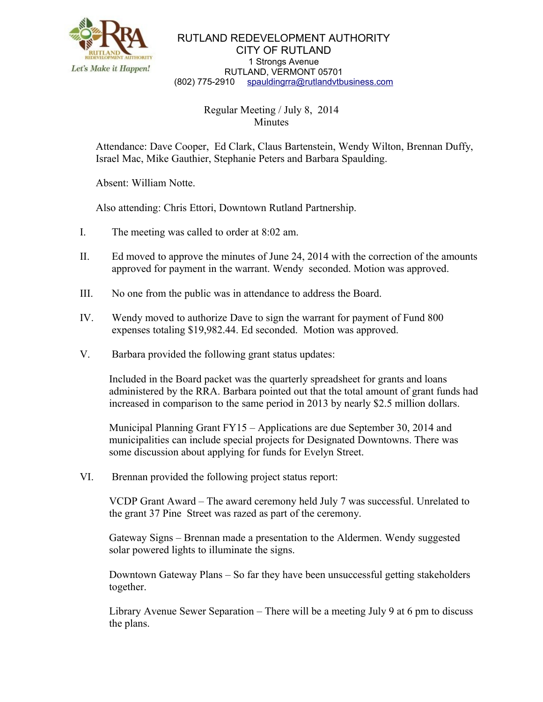

RUTLAND REDEVELOPMENT AUTHORITY CITY OF RUTLAND 1 Strongs Avenue RUTLAND, VERMONT 05701 (802) 775-2910 [spauldingrra@rutlandvtbusiness.com](mailto:allenrra@rutlandvtbusiness.com)

## Regular Meeting / July 8, 2014 **Minutes**

Attendance: Dave Cooper, Ed Clark, Claus Bartenstein, Wendy Wilton, Brennan Duffy, Israel Mac, Mike Gauthier, Stephanie Peters and Barbara Spaulding.

Absent: William Notte.

Also attending: Chris Ettori, Downtown Rutland Partnership.

- I. The meeting was called to order at 8:02 am.
- II. Ed moved to approve the minutes of June 24, 2014 with the correction of the amounts approved for payment in the warrant. Wendy seconded. Motion was approved.
- III. No one from the public was in attendance to address the Board.
- IV. Wendy moved to authorize Dave to sign the warrant for payment of Fund 800 expenses totaling \$19,982.44. Ed seconded. Motion was approved.
- V. Barbara provided the following grant status updates:

 Included in the Board packet was the quarterly spreadsheet for grants and loans administered by the RRA. Barbara pointed out that the total amount of grant funds had increased in comparison to the same period in 2013 by nearly \$2.5 million dollars.

 Municipal Planning Grant FY15 – Applications are due September 30, 2014 and municipalities can include special projects for Designated Downtowns. There was some discussion about applying for funds for Evelyn Street.

VI. Brennan provided the following project status report:

 VCDP Grant Award – The award ceremony held July 7 was successful. Unrelated to the grant 37 Pine Street was razed as part of the ceremony.

 Gateway Signs – Brennan made a presentation to the Aldermen. Wendy suggested solar powered lights to illuminate the signs.

 Downtown Gateway Plans – So far they have been unsuccessful getting stakeholders together.

 Library Avenue Sewer Separation – There will be a meeting July 9 at 6 pm to discuss the plans.